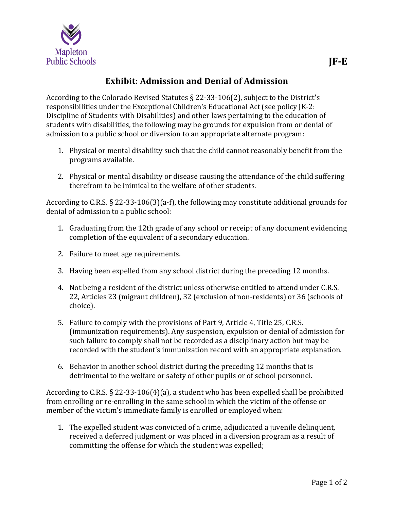

According to the Colorado Revised Statutes § 22-33-106(2), subject to the District's responsibilities under the Exceptional Children's Educational Act (see policy JK-2: Discipline of Students with Disabilities) and other laws pertaining to the education of students with disabilities, the following may be grounds for expulsion from or denial of admission to a public school or diversion to an appropriate alternate program:

- 1. Physical or mental disability such that the child cannot reasonably benefit from the programs available.
- 2. Physical or mental disability or disease causing the attendance of the child suffering therefrom to be inimical to the welfare of other students.

According to C.R.S. § 22-33-106(3)(a-f), the following may constitute additional grounds for denial of admission to a public school:

- 1. Graduating from the 12th grade of any school or receipt of any document evidencing completion of the equivalent of a secondary education.
- 2. Failure to meet age requirements.
- 3. Having been expelled from any school district during the preceding 12 months.
- 4. Not being a resident of the district unless otherwise entitled to attend under C.R.S. 22, Articles 23 (migrant children), 32 (exclusion of non-residents) or 36 (schools of choice).
- 5. Failure to comply with the provisions of Part 9, Article 4, Title 25, C.R.S. (immunization requirements). Any suspension, expulsion or denial of admission for such failure to comply shall not be recorded as a disciplinary action but may be recorded with the student's immunization record with an appropriate explanation.
- 6. Behavior in another school district during the preceding 12 months that is detrimental to the welfare or safety of other pupils or of school personnel.

According to C.R.S. § 22-33-106(4)(a), a student who has been expelled shall be prohibited from enrolling or re-enrolling in the same school in which the victim of the offense or member of the victim's immediate family is enrolled or employed when:

1. The expelled student was convicted of a crime, adjudicated a juvenile delinquent, received a deferred judgment or was placed in a diversion program as a result of committing the offense for which the student was expelled;